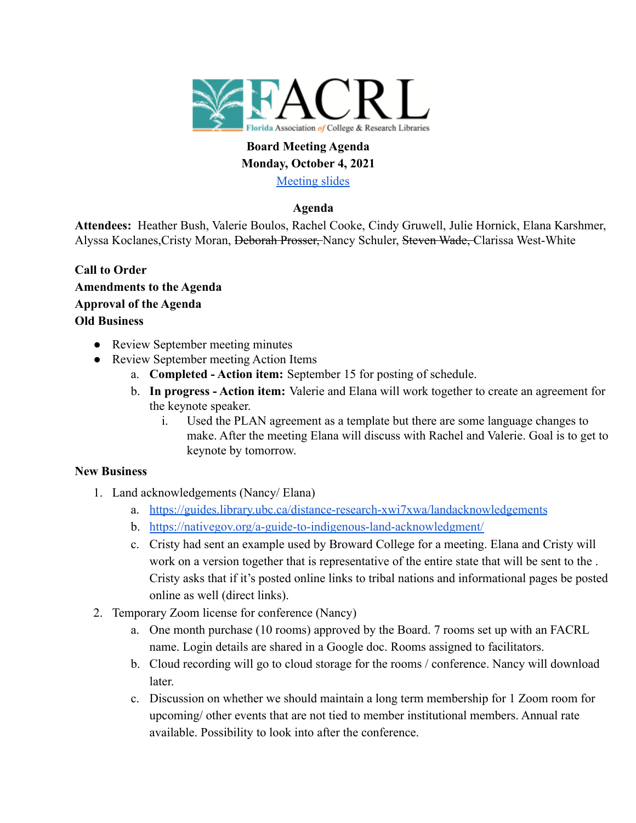

# **Board Meeting Agenda Monday, October 4, 2021**

[Meeting slides](https://docs.google.com/presentation/d/1-QyoPh34pvCtXlVGEuM73dM1YGgOMDsgFhD_uqWvFwo/edit?usp=sharing)

## **Agenda**

**Attendees:** Heather Bush, Valerie Boulos, Rachel Cooke, Cindy Gruwell, Julie Hornick, Elana Karshmer, Alyssa Koclanes,Cristy Moran, Deborah Prosser, Nancy Schuler, Steven Wade, Clarissa West-White

- **Call to Order Amendments to the Agenda Approval of the Agenda Old Business**
	- Review September meeting minutes
	- Review September meeting Action Items
		- a. **Completed Action item:** September 15 for posting of schedule.
		- b. **In progress Action item:** Valerie and Elana will work together to create an agreement for the keynote speaker.
			- i. Used the PLAN agreement as a template but there are some language changes to make. After the meeting Elana will discuss with Rachel and Valerie. Goal is to get to keynote by tomorrow.

#### **New Business**

- 1. Land acknowledgements (Nancy/ Elana)
	- a. [https://guides.library.ubc.ca/distance-research-xwi7xwa/landacknowledgements](https://urldefense.com/v3/__https:/guides.library.ubc.ca/distance-research-xwi7xwa/landacknowledgements__;!!FjuHKAHQs5udqho!ePCCX6oa5H7xbnbgg4Q74vDhuzsldiF1s1_K8vClqYluer0htaxS94He3nqQcRs$)
	- b. [https://nativegov.org/a-guide-to-indigenous-land-acknowledgment/](https://urldefense.com/v3/__https:/nativegov.org/a-guide-to-indigenous-land-acknowledgment/__;!!FjuHKAHQs5udqho!ePCCX6oa5H7xbnbgg4Q74vDhuzsldiF1s1_K8vClqYluer0htaxS94HeqpUoIps$)
	- c. Cristy had sent an example used by Broward College for a meeting. Elana and Cristy will work on a version together that is representative of the entire state that will be sent to the . Cristy asks that if it's posted online links to tribal nations and informational pages be posted online as well (direct links).
- 2. Temporary Zoom license for conference (Nancy)
	- a. One month purchase (10 rooms) approved by the Board. 7 rooms set up with an FACRL name. Login details are shared in a Google doc. Rooms assigned to facilitators.
	- b. Cloud recording will go to cloud storage for the rooms / conference. Nancy will download later.
	- c. Discussion on whether we should maintain a long term membership for 1 Zoom room for upcoming/ other events that are not tied to member institutional members. Annual rate available. Possibility to look into after the conference.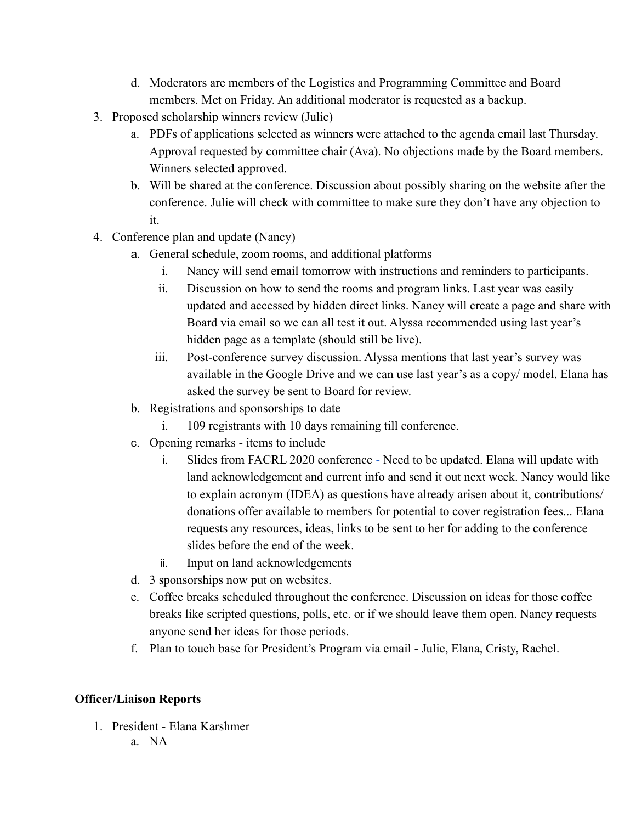- d. Moderators are members of the Logistics and Programming Committee and Board members. Met on Friday. An additional moderator is requested as a backup.
- 3. Proposed scholarship winners review (Julie)
	- a. PDFs of applications selected as winners were attached to the agenda email last Thursday. Approval requested by committee chair (Ava). No objections made by the Board members. Winners selected approved.
	- b. Will be shared at the conference. Discussion about possibly sharing on the website after the conference. Julie will check with committee to make sure they don't have any objection to it.
- 4. Conference plan and update (Nancy)
	- a. General schedule, zoom rooms, and additional platforms
		- i. Nancy will send email tomorrow with instructions and reminders to participants.
		- ii. Discussion on how to send the rooms and program links. Last year was easily updated and accessed by hidden direct links. Nancy will create a page and share with Board via email so we can all test it out. Alyssa recommended using last year's hidden page as a template (should still be live).
		- iii. Post-conference survey discussion. Alyssa mentions that last year's survey was available in the Google Drive and we can use last year's as a copy/ model. Elana has asked the survey be sent to Board for review.
	- b. Registrations and sponsorships to date
		- i. 109 registrants with 10 days remaining till conference.
	- c. Opening remarks items to include
		- i. Slides from FACRL 2020 conference Need to be updated. Elana will update with land acknowledgement and current info and send it out next week. Nancy would like to explain acronym (IDEA) as questions have already arisen about it, contributions/ donations offer available to members for potential to cover registration fees... Elana requests any resources, ideas, links to be sent to her for adding to the conference slides before the end of the week.
		- ii. Input on land acknowledgements
	- d. 3 sponsorships now put on websites.
	- e. Coffee breaks scheduled throughout the conference. Discussion on ideas for those coffee breaks like scripted questions, polls, etc. or if we should leave them open. Nancy requests anyone send her ideas for those periods.
	- f. Plan to touch base for President's Program via email Julie, Elana, Cristy, Rachel.

# **Officer/Liaison Reports**

- 1. President Elana Karshmer
	- a. NA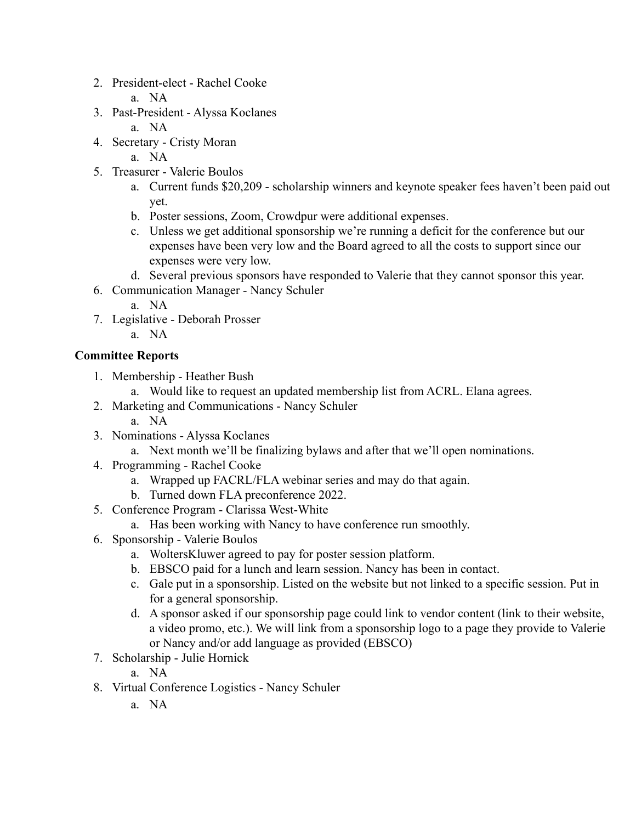- 2. President-elect Rachel Cooke
	- a. NA
- 3. Past-President Alyssa Koclanes
	- a. NA
- 4. Secretary Cristy Moran
	- a. NA
- 5. Treasurer Valerie Boulos
	- a. Current funds \$20,209 scholarship winners and keynote speaker fees haven't been paid out yet.
	- b. Poster sessions, Zoom, Crowdpur were additional expenses.
	- c. Unless we get additional sponsorship we're running a deficit for the conference but our expenses have been very low and the Board agreed to all the costs to support since our expenses were very low.
	- d. Several previous sponsors have responded to Valerie that they cannot sponsor this year.
- 6. Communication Manager Nancy Schuler
	- a. NA
- 7. Legislative Deborah Prosser
	- a. NA

# **Committee Reports**

- 1. Membership Heather Bush
	- a. Would like to request an updated membership list from ACRL. Elana agrees.
- 2. Marketing and Communications Nancy Schuler
	- a. NA
- 3. Nominations Alyssa Koclanes
	- a. Next month we'll be finalizing bylaws and after that we'll open nominations.
- 4. Programming Rachel Cooke
	- a. Wrapped up FACRL/FLA webinar series and may do that again.
	- b. Turned down FLA preconference 2022.
- 5. Conference Program Clarissa West-White
	- a. Has been working with Nancy to have conference run smoothly.
- 6. Sponsorship Valerie Boulos
	- a. WoltersKluwer agreed to pay for poster session platform.
	- b. EBSCO paid for a lunch and learn session. Nancy has been in contact.
	- c. Gale put in a sponsorship. Listed on the website but not linked to a specific session. Put in for a general sponsorship.
	- d. A sponsor asked if our sponsorship page could link to vendor content (link to their website, a video promo, etc.). We will link from a sponsorship logo to a page they provide to Valerie or Nancy and/or add language as provided (EBSCO)
- 7. Scholarship Julie Hornick
	- a. NA
- 8. Virtual Conference Logistics Nancy Schuler
	- a. NA